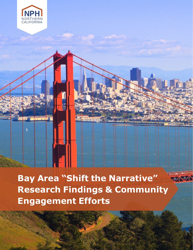



**Engagement Efforts**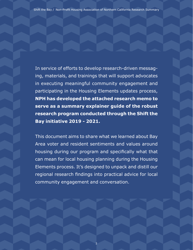Shift the Bay / Non-Profit Housing Association of Northern California Research Summary

In service of efforts to develop research-driven messaging, materials, and trainings that will support advocates in executing meaningful community engagement and participating in the Housing Elements updates process, **NPH has developed the attached research memo to serve as a summary explainer guide of the robust research program conducted through the Shift the Bay initiative 2019 - 2021.** 

This document aims to share what we learned about Bay Area voter and resident sentiments and values around housing during our program and specifically what that can mean for local housing planning during the Housing Elements process. It's designed to unpack and distill our regional research findings into practical advice for local community engagement and conversation.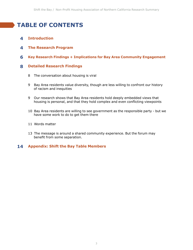## **TABLE OF CONTENTS**

- **Introduction 4**
- **The Research Program 4**
- **Key Research Findings + Implications for Bay Area Community Engagement 6**

#### **Detailed Research Findings 8**

- 8 The conversation about housing is viral
- 9 Bay Area residents value diversity, though are less willing to confront our history of racism and inequities
- 9 Our research shows that Bay Area residents hold deeply embedded views that housing is personal, and that they hold complex and even conflicting viewpoints
- 10 Bay Area residents are willing to see government as the responsible party but we have some work to do to get them there
- 11 Words matter
- 13 The message is around a shared community experience. But the forum may benefit from some separation.

#### **Appendix: Shift the Bay Table Members 14**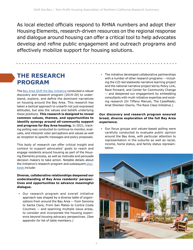As local elected officials respond to RHNA numbers and adopt their Housing Elements, research-driven resources on the regional response and dialogue around housing can offer a critical tool to help advocates develop and refine public engagement and outreach programs and effectively mobilize support for housing solutions.

## **THE RESEARCH PROGRAM**

The [Bay Area Shift the Bay Initiative](https://nonprofithousing.org/events-and-programs/shift-the-narrative/) conducted a robust discovery and research program (2019-20) to understand, explore, and define the dominant narratives on housing around the Bay Area. This research has taken a tactical approach to unearth not just expressed attitudes, but also the values and beliefs underlying these positions. **This research is designed to reveal common values, themes, and opportunities to identify synergy around all-community support and progress for Bay Area housing.** In 2021, tracking polling was conducted to continue to monitor, evaluate, and interpret voter perceptions and values as well as reception to specific messages and policy proposals.

This body of research can offer critical insight and context to support advocates' goals to reach and engage residents around housing as part of the Housing Elements process, as well as motivate and persuade decision makers to take action. Notable details about the Initiative's research program and subsequent [play](https://nonprofithousing.org/wp-content/uploads/2020/09/Shift-the-Narrative-Playbook-FINAL-compressed.pdf)[book i](https://nonprofithousing.org/wp-content/uploads/2020/09/Shift-the-Narrative-Playbook-FINAL-compressed.pdf)nclude:

#### **Diverse, collaborative relationships deepened our understanding of Bay Area residents' perspectives and opportunities to advance meaningful dialogue.**

• Our research program and overall initiative approach was shaped by a diverse table of organizations from around the Bay Area -- from Sonoma to Santa Clara, From San Mateo to Contra Costa Counties -- and spanning multiple issue areas, to consider and incorporate the housing experience beyond housing advocacy perspectives. (See appendix for list of table members.)

• The initiative developed collaborative partnerships with a number of other research programs -- including the CZI-led statewide narrative learning project and the national narrative project led by Policy Link, Race Forward, and Center for Community Change -- and deepened our engagement by embedding consultants with multi-initiative expertise and existing research (Dr Tiffany Manuel, The CaseMade; Anat Shenker-Osorio, The Race Class Initiative.)

#### **Our discovery and research program ensured broad, diverse exploration of the full Bay Area experience.**

• Our focus groups and values-based polling were carefully conducted to evaluate public opinion around the Bay Area, with particular attention to representation in the suburbs as well as racial, income, home status, and family status representation.

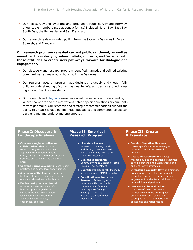- Our field survey and lay of the land, provided through survey and interview of our table members (see appendix for list) included North Bay, East Bay, South Bay, the Peninsula, and San Francisco.
- Our research review included polling from the 9-county Bay Area in English, Spanish, and Mandarin.

**Our research program revealed current public sentiment, as well as unearthed the underlying values, beliefs, concerns, and fears beneath those attitudes to create new pathways forward for dialogue and engagement.**

- Our discovery and research program identified, named, and defined existing dominant narratives around housing in the Bay Area.
- Our regional research program was designed to deeply and thoughtfully build an understanding of current values, beliefs, and desires around housing among Bay Area residents.
- Our research and [playbook](https://nonprofithousing.org/wp-content/uploads/2020/09/Shift-the-Narrative-Playbook-FINAL-compressed.pdf) were developed to deepen our understanding of where people are and the motivations behind specific questions or comments they might make. Our research and strategic recommendations support the ability to unpack what's behind initial questions and comments, so we can truly engage and understand one another.

### **Phase I: Discovery & Landscape Analysis**

- **• Convene a regionally diverse collaborative table** to shape research program and initiative approach from Sonoma to Santa Counties and spanning multiple issue areas
- **• Convene narrative experts** to share best practices and assess local opportunities.
- **• Assess lay of the land**, via surveys, facilitated table conversations, one-onones, and shared media landscape.
- **• Deploy best practices**: Workshops & breakout sessions to identify how best practice guidance works in the Bay Area & collect local experiences to identify additional opportunities, challenges, and ideas.

### **Phase II: Empirical Research Program**

- **• Literature Review:**  Evaluation, themes, trends, and through-lines identified via dozens of Bay Area Polling Data (EMC Research)
- **• Qualitative Research:**  Community Voice Sessions/ Focus Groups (TheCaseMade)
- **• Quantitative Research:** Polling & Values Mapping (EMC Research)
- **• Coordination on Narrative Research:** Partnering with narrative initiatives locally, statewide, and federally to incorporate findings, leverage ideas, and identify value-add to our movement

#### **Phase III: Create & Translate**

- **• Develop Narrative Playbook:**  Create specific narrative strategies based on cumulative research findings
- **• Create Message Guide:** Develop message guides and additional resources to help partners in this work embed and apply narrative strategies
- **• Strengthen Capacity:** Develop trainings, presentations, and other tools to help strengthen narrative, communications, engagement, and outreach skills across our coalition and partners
- **• New Research/Evaluation:**  Use state-of-the-art research methods to continue growing our understanding and refining our strategies to shape the narrative on housing and racial justice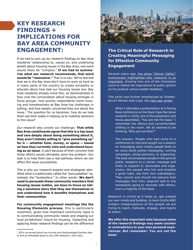## **KEY RESEARCH FINDINGS + IMPLICATIONS FOR BAY AREA COMMUNITY ENGAGEMENT:**

If we had to sum up our research findings on Bay Area residents' relationship to, values on, and underlying beliefs about housing issues in the Bay Area, one word would likely be "complex." **If we had to summarize what our research recommends, that word would be "resonance."** That is to say: We've learned that we in the Bay Area don't have to work as hard as in many parts of the country to create sympathy or educate about how bad our housing issues are. Bay Area residents already know this, as demonstrated in how viral the conversation about housing emerges in focus groups; how quickly respondents name housing and homelessness as Bay Area top challenges in polling; and how deeply concerned they are about the issue.<sup>1</sup> The question for us becomes: how do we help them see their stake in helping us to mobilize solutions to this issue?

Our research also unveils our challenge: **That while Bay Area constituents agree that this is a top issue and care deeply about doing something about it, they aren't initially willing to "give something up" for it — whether time, money, or space — based on how they currently view and understand housing as an issue**, in part because of their cynicism that those efforts would ultimately solve the problem. Our task is to help them see a real pathway where we can effect this issue successfully.

This is why our research experts and strategists identified what is traditionally called the "persuadables" as, instead, the "bystanders." In other words: **We don't need to persuade these community members that housing issues matter, we have to focus on telling a solutions story that they see themselves in and understand how it benefits themselves and their communities.** 

**For community engagement meetings like the Housing Elements process**, this is particularly important, given how important community input is to communicating community needs and shaping our local jurisdictions' future for housing. Unpacking and applying these research findings can be the difference



### **The Critical Role of Research in Creating Meaningful Messaging for Effective Community Engagement**

Several years ago, [the show "Silicon Valley"](https://www.youtube.com/watch?v=QYBcLMiR9b0) [humorously highlighted why research is so](https://www.youtube.com/watch?v=QYBcLMiR9b0) [important,](https://www.youtube.com/watch?v=QYBcLMiR9b0) showing how one of the characters came to realize the importance of public opinion on his product versus insider feedback.

This point was further emphasized by Shelterforce's Miriam Axel-Lute, who [last year wrote:](https://shelterforce.org/2020/07/27/how-do-we-change-the-narrative-around-housing/)

> When I attended a presentation at a Facing Race conference on the Race Class Narrative research in 2018, one of the presenters told those assembled, "You are not the base." I remember the silence and uncomfortable shifting in the room. We all seemed to be thinking "Who are we then?"

> The answer: People who had come to a conference on race and sought out a session on messaging were mostly people likely to be *using* racial justice messaging, running campaigns, doing advocacy, or organizing. The base encompasses people in the general public receptive to a certain message and likely to support it; advocates and organizers, the people who live and breathe a given topic, are their own subcategory. They cannot and should not assume that messages that they respond well to are necessarily going to resonate with others, even a majority of the base.

Research is critical as it helps us get outside our own minds and bubbles, to learn truths AND unlearn misperceptions of the people we are trying to reach, motivate, engage, and inspire to action.

**We offer this important note because some of the research findings may seem counter or contradictory to your own personal experiences. But remember: You are not the base!** 

<sup>&</sup>lt;sup>1</sup> 83% concerned about low-income and disadvantaged families able to find an affordable place to live, EMC Research, June 2021.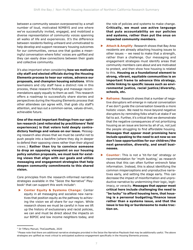between a community session overpowered by a small number of loud, motivated NIMBYS and one where we've successfully invited, engaged, and mobilized a diverse representation of community voices spanning all walks of life and experiences. It's the difference between residents feeling unheard and unmotivated to help develop and support necessary housing outcomes for our communities, versus one that guides a meaningful conversation where folks' voices are uplifted and they can easily draw connections between their goals and collective community.

It's also important when considering **how we motivate city staff and elected officials during the Housing Elements process to hear our voices, advance our proposals, and champion housing solutions**. While lawmakers and city staff have a distinct role in this process, these research findings and message recommendations apply equally to them as well. This research offers a roadmap to successfully share stories and perspectives during the Housing Elements process that other attendees can agree with, that grab city staff's attention, and lays out a common-sense, values-driven, achievable future.

**One of the most important findings from our opinion research (and reiterated by practitioners' field experiences) is that voters hold deeply contradictory feelings and values on our issue.** Messaging research also shows that we must be careful not to push people into a backfire (where they dig in deeper to defend their opposing views rather than their aligned views.) **Rather than try to convince someone to drop an opposing viewpoint on our housing policy solution proposals, we must look for existing views that align with our goals and utilize messaging and engagement strategies that help deepen community commitments to this shared vision.**

Core principles from the research-informed narrative strategies available in the "Seize the Narrative" Playbook<sup>2</sup> that can support this work include<sup>3</sup>:

**Center Equity & Systems Change: Center** equity in all messaging and socialize new narratives that position equity as the pathway to achieving the vision we all share for our region. While research shows we must be careful in how we lift up the history of exclusionary and racist policies, we can and must be direct about the impacts on our BIPOC and low income neighbors today, and

the role of policies and systems to make change. **Critically, we must use active language that puts accountability on our policies and systems, rather than put the onus on impacted community members.**

- **Attach & Amplify: Research shows that Bay Area** residents are already attaching housing issues to other issues -- we need to make that a strength, rather than a challenge. Our messaging and engagement strategies must identify areas that community members care about and are motivated to protect, and then show how housing is related to this. **Housing as a foundational element to strong, vibrant, equitable communities is an important frame to advance this strategy, while linking to specific issues such as environmental justice, racial justice/diversity, schools, etc.**
- **Reframe**: Research shows that a number of negative disruptors will emerge in natural conversation if we don't guide the conversation towards a more holistic vision. We need to move beyond negative disruptors by reminding folks what's at stake if we fail to act. Further, it's critical that we demonstrate that the negative consequences of not prioritizing housing as an issue are borne by all of us, not just the people struggling to find affordable housing. **Messages that appear most promising here include speaking to the need to act now so we don't lose opportunities for our children/the next generation, diversity, and small businesses.**
- ▶ **Counter**: This is not a 'tit-for-tat' strategy or recommendation for 'myth busting,' as research shows that this can often further entrench false information. Instead, this is about identifying the common misperceptions and unproductive narratives early, and setting the stage early. This can decrease the impact of misinformation and unproductive narrative by undermining their logic, legitimacy, or veracity. **Messages that appear most critical here include challenging the need to "be lucky" to afford housing here, that housing is a personal budgeting/finance issue rather than a systems issue, and that the issue is too big or burdensome to make traction on.**

<sup>2</sup> Dr Tiffany Manuel, TheCaseMade, 2020

<sup>&</sup>lt;sup>3</sup> Please note that there are additional narrative strategies provided in the Seize the Narrative Playbook that may be additionally useful. The above strategies are uplifted as most critical to anticipated audience engagement specifically in the Housing Elements process.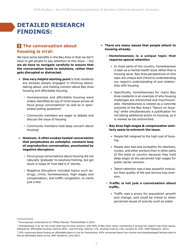## **DETAILED RESEARCH FINDINGS:**

## **The conversation about 1 housing is viral:**

We have some benefits in the Bay Area in that we don't have to get people to pay attention to this issue -- but **we do have to navigate carefully to ensure that the conversation leads to solutions, rather than gets disrupted or distracted.** 

- **• One very helpful starting point** is that residents are already deeply engaged in thinking about, talking about, and holding concern about Bay Area housing and affordable housing.
	- Homelessness and affordable housing were widely identified as top of mind issues across all focus group conversations<sup>4</sup> as well as in openended polling questions<sup>5</sup>
	- Community members are eager to debate and discuss the issue of housing
	- Community members hold deep concern about housing6
- **• However, it often evokes heated conversation that perpetuates an unhelpful, constant loop of unproductive conversation, punctuated by negative disruptors.**
	- Focus group conversations about housing did not naturally 'graduate' to solutions framing, but got stuck in loops of 'how bad is it' stories.
	- Negative disruptors included topics such as: drugs, crime, homelessness; high wages and compensation; and traffic congestion, to name just a few.
- **• There are many issues that people attach to housing already.**
	- **Homelessness is a unique topic that requires special attention**
		- In most parts of the country, homelessness is seen as a mental health issue rather than a housing issue. Bay Area perspectives on this topic are unique and critical to understanding our region's understanding of and relationship with housing.
		- Specifically, homelessness for many Bay Area residents is an example of why housing challenges are entrenched and insurmountable. Homelessness is viewed as a concrete outcome of the Bay Area's "failure on housing" while simultaneously a justification for not taking additional action on housing, as it is viewed as too entrenched.
	- **Bay Area high wages & compensation similarly seem to entrench the issue.** 
		- People felt resigned to the high cost of housing.
		- People also had less sympathy for teachers, nurses, and other workers than in other parts of the state or country because they hold deep anger at the perceived high wages for public sector workers.
		- Talent retention was a less powerful motivator than quality of life and service loss aversion.
	- **Traffic is not just a conversation about traffic.**
		- Traffic was a proxy for population growth and change, and could be linked to other perceived issues of scarcity such as water.

<sup>4</sup> Focus groups conducted by Dr Tiffany Manuel, TheCaseMade in 2019.

<sup>5</sup> Homelessness is by far the most-cited top-of-mind concern, with 49% of Bay Area voters mentioning it among the region's top three issues, followed by 'affordable housing' cited by 26%, 'cost of living' cited by 17%, housing crisis by 14%, poverty by 10%. (EMC Research, 2021)

<sup>6</sup> 53% concerned about finding an affordable place to live for themselves; 83% concerned about low-income and disadvantaged families able to find an affordable place to live, EMC Research, June 2021.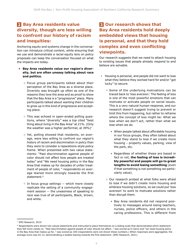## **Bay Area residents value 2 3 diversity, though are less willing to confront our history of racism and inequities:**

Anchoring equity and systems change in the conversation can introduce critical context, while ensuring that we use and demonstrate a racial equity lens on policy proposals can keep the conversation focused on what the impacts are today.

- **• Bay Area residents value our region's diversity, but are often uneasy talking about race and politics.**
	- Focus group participants talked about their perception of the Bay Area as a diverse place. Diversity was brought up often as one of the reasons they love the area and as proof to show that the Bay Area is a "progressive" place. Many participants talked about wanting their children to grow up in this kind of progressive and accepting place.
	- This was echoed in open-ended polling questions, where "diversity" was a top cited "best thing about living in the Bay Area" at 21%. (Only the weather was a higher performer, at  $39\%$ )<sup>7</sup>
	- Yet, polling showed that residents, on average, were less willing to confront our region's history of racism and discimination in policy than they were to consider a reparations-style policy frame. When presented with two value statements: "Past discrimination against people of color should not affect how people are treated today" and "We need housing policy in the Bay Area that makes up for decades of unfair treatment of people of color, " respondents on average leaned more strongly towards the first statement.<sup>8</sup>
	- In focus group settings -- which more closely replicate the setting of a community engagement session -- the uneasiness of speaking to race was true of all participants, Black, brown, and white.

## **8 Our research shows that Bay Area residents hold deeply embedded views that housing is personal, and that they hold complex and even conflicting viewpoints.**

Our research suggests that we need to attach housing to existing issues that people already respond to and believe are solvable.

- Housing is personal, and people did not want to lose what they believe they worked hard for and/or "got lucky" to secure
	- Some of the underlying motivations can be traced back to 'loss aversion.' The feeling of loss is one of the most powerful emotions that can motivate or activate people on social issues. This is a very natural human response, and our research doesn't suggest trying to prevent or limit this from happening, but rather to reframe where the concept of loss might be: What we lose when we don't act, rather than what we lose when we do.
		- When people talked about affordable housing in our focus groups, they often talked about what they stand to lose if we create more housing – property values, parking, view of the park, etc.
		- Regardless of whether these are based in fact or not, **the feeling of loss is incredibly powerful and people will go to great lengths to avoid losing something** (even if that something is not something we particularly value).
	- Our research probed at what folks were afraid to lose if we didn't create more housing and embrace housing solutions, so we could put 'loss aversion' to work to motivate solutions rather than disrupt them.
		- Bay Area residents did not respond positively to messages around losing teachers, nurses, police officers, and others in the caring professions. This is different from

<sup>7</sup> EMC Research, 2019

<sup>8</sup> Respondents were shown two values statements and instructed to place themselves on a sliding scale that demonstrated which statement they felt more closely to. "Past discrimination against people of color should not affect…" was scored as 0 (zero) and "we need housing policy in the Bay Area that makes up for…" was scored as 100 (respondents were not shown these numbers.) When responses were aggregated, the average score was 42.13, demonstrating a sizable leaning towards the first statement. (EMC Research, 2021)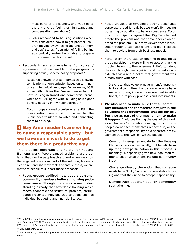most parts of the country, and was tied to the entrenched feeling of high wages and compensation (see above.)

- Folks responded to housing solutions when they considered how it might prevent: children moving away, losing the unique "mom and pop" stores, frustration of falling behind economically and/or being able to prepare for retirement in this market.
- Respondents lack resonance to get from concern/ agreement that we need to make progress to supporting actual, specific policy proposals.<sup>9</sup>
	- Research showed that sometimes this is owing to misinformation/confusion based on terminology and technical language. For example, 68% agree with policies that "make it easier to build new housing in transit and commercial areas" while only 37% agree with "building new higher density housing in my neighborhood.<sup>10"</sup>
	- Focus groups showed promise when shifting the conversation from housing to issues that the public does think are solvable and connecting them to housing.

## **Bay Area residents are willing 4 to name a responsible party - but we have some work to do to get them there in a productive way.**

This is deeply important and helpful for Housing Elements work. People-caused problems are problems that can be people-solved, and when we show the engaged players as part of the solution, lay out a clear plan, and show examples of past success, we can motivate people to support those proposals.

**• Focus groups uplifted how deeply personal community members believed housing problems were.** Though there was some understanding already that affordable housing was a macro-economic and structural problem, participants presented individualized solutions such as individual budgeting and financial literacy.

- Focus groups also revealed a strong belief that corporate greed is real, but we won't fix housing by getting corporations to have a conscience. Focus group participants agreed that Big Tech helped create the problem and that developers exacerbated the problem -- but they viewed these industries through a capitalistic lens and didn't expect them to deviate from their business model.
- Fortunately, there was an opening in that focus group participants were willing to accept that the problem belongs to the government. Unfortunately, they also brought deep cynicism and distrust alongside this view and a belief that government was already flush with cash.
	- It's critical that we uplift government's responsibility and commitment and show where we have made progress, in order to secure trust in additional, future policy proposals and investments.
- **• We also need to make sure that all community members see themselves not just in the solutions that government creates for us , but also as part of the mechanism to make it happen.** Avoid positioning the goal of this work as exclusively "affordable housing," which many people do not see themselves reflected in, or the government's responsibility as a separate entity. Demonstrate the "we" of "we the people."
	- Community engagement during the Housing Elements process, especially, will benefit from uplifting how participation in this process is meaningful, especially given new legal requirements that jurisdictions include community input.
	- Challenge directly the notion that someone needs to be "lucky" in order to have stable housing and that they need to accept responsibility.
	- Demonstrate opportunities for community strengthening.

<sup>9</sup> While 82% respondents expressed concern about housing for others, only 61% supported housing in my neighborhood (EMC Research, 2019; Lake Research, 2019). The policy proposals with the highest support were the most abstract/vague, and still didn't score as highly as concern: 77% agree that "we should make sure that current affordable housing continues to stay affordable to those who need it" (EMC Research, 2021)

<sup>10</sup> EMC Research, 2016

<sup>&</sup>lt;sup>11</sup> EMC Research, 2019 Polling Review. Recommendations from Anat Shenker-Osorio, 2019 Shift the Bay workshop and Race-Class Narrative Research.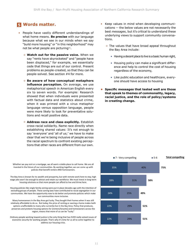## **Words matter. 5**

- People have vastly different understandings of what home means. **Be precise** with our language because what we see in our minds when we say "build more housing" or "in this neighborhood" may not be what people are picturing $11$ .
	- **Watch out for the passive voice.** When we say "rents have skyrocketed" and "people have been displaced," for example, we essentially cede that things are out of our control. Present problems as people-created, so that they can be people-solved. See section #4 for more.
	- **Be aware of how conceptual metaphors influence perception.** On average, we use metaphorical speech in American English every six to seven words. For example: Research showed that when individuals were presented with factual data and statistics about crime, when it was primed with a virus metaphor language versus opposition language, people were more likely to look for preventative solutions and recall positive data.
- **Address race and class explicitly.** Establish cross-racial solidarity. Name race directly when establishing shared values: It's not enough to say 'everyone' and 'all of us;' we have to make clear that we're being inclusive of people across the racial spectrum to confront existing perceptions that other races are different from our own. say 'everyone' a<br>clear that we're<br>the racial spectr *The message underlining the homeowner/renter commonality is compelling to 3-in-4 Bay Area voters.*

invested in the future of our communities. By working together, we can come up with Whether we pay rent or a mortgage, we all want a stable place to call home. We are all policies that benefit renters AND homeowners.

wage jobs won't be enough to attract and retain our workforce. We must invest in long-term The Bay Area is known for its wealth and prosperity, but with remote work here to stay, high housing solutions so that more people can afford to live and thrive here.

communities. We have the opportunity now to do better and promote policies which make Housing policies like single family zoning were put in place decades ago with the intention of excluding groups of people. These zoning laws have contributed to racial segregation in our our communities more inclusive.

options unaffordable to many who currently live in the Bay Area. Policy that produces, Many homeowners in the Bay Area got lucky. They bought their homes when it was still relatively affordable to do so. But today, the price of renting or owning a home makes both preserves and protects housing options for [renters/tenants] and homeowners across the region, means that more of us can be "lucky."

alliary people tronning cortain gradities is the only thing that has even really sorreal issues of Ordinary people working toward justice is the only thing that has EVER really solved issues of address our housing crisis.

- Keep values in mind when developing communications -- the below values are not necessarily the best *messages*, but it's critical to understand these underlying views to support community conversations.
	- The values that have broad appeal throughout the Bay Area include:
		- Having a decent place to live is a basic human right,
		- Housing policy can make a significant difference and help to control the cost of housing regardless of the economy,
		- Like public education and healthcare, everyone should have access to housing
- **• Specific messages that tested well are those that speak to themes of commonality, legacy, racial justice, and the role of policy/systems in creating change.**

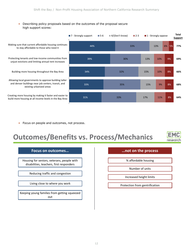#### • Describing policy proposals based on the outcomes of the proposal secure<br>high gunnart secure: high support scores:



• Focus on people and outcomes, not process.

# **Outcomes/Benefits vs. Process/Mechanics**



| Focus on outcomes                                                                      |
|----------------------------------------------------------------------------------------|
|                                                                                        |
| Housing for seniors, veterans, people with<br>disabilities, teachers, first responders |
|                                                                                        |
| Reducing traffic and congestion                                                        |
|                                                                                        |
| Living close to where you work                                                         |
|                                                                                        |

Keeping young families from getting squeezed out

**Focus on outcomes… …not on the process**

% affordable housing

Number of units

Increased height limits

Protection from gentrification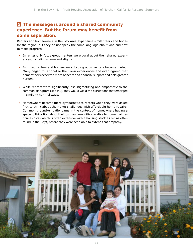### **The message is around a shared community 5experience. But the forum may benefit from some separation.**

Renters and homeowners in the Bay Area experience similar fears and hopes for the region, but they do not speak the same language about who and how to make progress.

- In renter-only focus group, renters were vocal about their shared experiences, including shame and stigma.
- In mixed renters and homeowners focus groups, renters became muted. Many began to rationalize their own experiences and even agreed that homeowners deserved more benefits and financial support and held greater burden.
- While renters were significantly less stigmatizing and empathetic to the common disruptors (see #1), they would wield the disruptions that emerged in similarly harmful ways.
- Homeowners became more sympathetic to renters when they were asked first to think about their own challenges with affordable home repairs. Common ground/empathy came in the context of homeowners having a space to think first about their own vulnerabilities relative to home maintenance costs (which is often extensive with a housing stock as old as often found in the Bay), before they were seen able to extend that empathy.